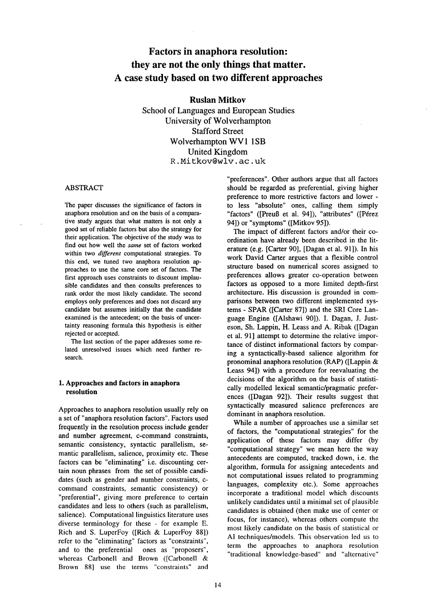# **Factors in anaphora resolution: they are not the only things that matter. A case study based on two different approaches**

### **Ruslan Mitkov**

**School of Languages and European Studies University of Wolverhampton Stafford Street Wolverhampton WV1 1SB** United Kingdom R. Mitkov@wlv. ac. uk

### ABSTRACT

The paper discusses the significance of factors in anaphora resolution and on the basis of a comparative study argues that what matters is not only a good set of reliable factors but also the strategy for their application. The objective of the study was to find out how well the *same* set of factors worked within two *different* computational strategies. To this end, we tuned two anaphora resolution approaches to use the same core set of factors. The first approach uses constraints to discount implausible candidates and then consults preferences to rank order the most likely candidate. The second employs only preferences and does not discard any candidate but assumes initially that the candidate examined is the antecedent; on the basis of uncertainty reasoning formula this hypothesis is either rejected or accepted.

The last section of the paper addresses some related unresolved issues which need further research.

# **I. Approaches and factors in anaphora resolution**

Approaches to anaphora resolution usually rely on a set of "anaphora resolution factors". Factors used frequently in the resolution process include gender and number agreement, c-command constraints, semantic consistency, syntactic parallelism, semantic parallelism, salience, proximity etc. These factors can be "eliminating" i.e. discounting certain noun phrases from the set of possible candidates (such as gender and number constraints, ccommand constraints, semantic consistency) or "preferential", giving more preference to certain candidates and less to others (such as parallelism, salience). Computational linguistics literature uses diverse terminology for these - for example E. Rich and S. LuperFoy ([Rich & LuperFoy 88]) refer to the "eliminating" factors as "constraints", and to the preferential ones as "proposers", whereas Carbonell and Brown ([Carbonell & Brown 88] use the terms "constraints" and

"preferences". Other authors argue that all factors should be regarded as preferential, giving higher preference to more restrictive factors and lower to less "absolute" ones, calling them simply "factors" ([Preuß et al. 94]), "attributes" ([Pérez 94]) or "symptoms" ([Mitkov 95]).

The impact of different factors and/or their coordination have already been described in the literature (e.g. [Carter 90], [Dagan et al. 91]). In his work David Carter argues that a flexible control structure based on numerical scores assigned to preferences allows greater co-operation between factors as opposed to a more limited depth-first architecture. His discussion is grounded in comparisons between two different implemented systems - SPAR ([Carter 87]) and the SRI Core Language Engine ([Alshawi 90]). I. Dagan, J. Justeson, Sh. Lappin, H. Leass and A. Ribak ([Dagan et al. 91] attempt to determine the relative importance of distinct informational factors by comparing a syntactically-based salience algorithm for pronominal anaphora resolution (RAP) ([Lappin & Leass 94]) with a procedure for reevaluating the decisions of the algorithm on the basis of statistically modelled lexical semantic/pragmatic preferences ([Dagan 92]). Their results suggest that syntactically measured salience preferences are dominant in anaphora resolution.

While a number of approaches use a similar set of factors, the "computational strategies" for the application of these factors may differ (by "computational strategy" we mean here the way antecedents are computed, tracked down, i.e. the algorithm, formula for assigning antecedents and not computational issues related to programming languages, complexity etc.). Some approaches incorporate a traditional model which discounts unlikely candidates until a minimal set of plausible candidates is obtained (then make use of center or focus, for instance), whereas others compute the most likely candidate on the basis of statistical or AI techniques/models. This observation led us to term the approaches to anaphora resolution "traditional knowledge-based" and "alternative"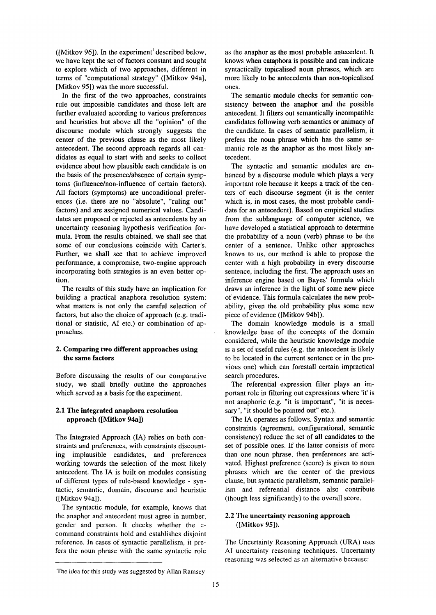( $[Mitkov 96]$ ). In the experiment<sup>1</sup> described below, we have kept the set of factors constant and sought to explore which of two approaches, different in terms of "computational strategy" ([Mitkov 94a], [Mitkov 95]) was the more successful.

In the first of the two approaches, constraints rule out impossible candidates and those left are further evaluated according to various preferences and heuristics but above all the "opinion" of the discourse module which strongly suggests the center of the previous clause as the most likely antecedent. The second approach regards all candidates as equal to start with and seeks to collect evidence about how plausible each candidate is on the basis of the presence/absence of certain symptoms (influence/non-influence of certain factors). All factors (symptoms) are unconditional preferences (i.e. there are no "absolute", "ruling out" factors) and are assigned numerical values. Candidates are proposed or rejected as antecedents by an uncertainty reasoning hypothesis verification formula. From the results obtained, we shall see that some of our conclusions coincide with Carter's. Further, we shall see that to achieve improved performance, a compromise, two-engine approach incorporating both strategies is an even better option.

The results of this study have an implication for building a practical anaphora resolution system: what matters is not only the careful selection of factors, but also the choice of approach (e.g. traditional or statistic, AI etc.) or combination of approaches.

# **2. Comparing two different approaches using the same factors**

Before discussing the results of our comparative study, we shall briefly outline the approaches which served as a basis for the experiment.

# **2.1 The integrated anaphora resolution approach ([Mitkov 94a])**

The Integrated Approach (IA) relies on both constraints and preferences, with constraints discounting implausible candidates, and preferences working towards the selection of the most likely antecedent. The IA is built on modules consisting of different types of rule-based knowledge - syntactic, semantic, domain, discourse and heuristic ([Mitkov 94a]).

The syntactic module, for example, knows that the anaphor and antecedent must agree in number, gender and person. It checks whether the ccommand constraints hold and establishes disjoint reference. In cases of syntactic parallelism, it prefers the noun phrase with the same syntactic role

as the anaphor as the most probable antecedent. It knows when cataphora is possible and can indicate syntactically topicalised noun phrases, which are more likely to be antecedents than non-topicalised ones.

The semantic module checks for semantic consistency between the anaphor and the possible antecedent. It filters out semantically incompatible candidates following verb semantics or animacy of the candidate. In cases of semantic parallelism, it prefers the noun phrase which has the same semantic role as the anaphor as the most likely antecedent.

The syntactic and semantic modules are enhanced by a discourse module which plays a very important role because it keeps a track of the centers of each discourse segment (it is the center which is, in most cases, the most probable candidate for an antecedent). Based on empirical studies from the sublanguage of computer science, we have developed a statistical approach to determine the probability of a noun (verb) phrase to be the center of a sentence. Unlike other approaches known to us, our method is able to propose the center with a high probability in every discourse sentence, including the first. The approach uses an inference engine based on Bayes' formula which draws an inference in the light of some new piece of evidence. This formula calculates the new probability, given the old probability plus some new piece of evidence ([Mitkov 94b]).

The domain knowledge module is a small knowledge base of the concepts of the domain considered, while the heuristic knowledge module is a set of useful rules (e.g. the antecedent is likely to be located in the current sentence or in the previous one) which can forestall certain impractical search procedures.

The referential expression filter plays an important role in filtering out expressions where 'it' is not anaphoric (e.g. "it is important", "it is necessary", "it should be pointed out" etc.).

The IA operates as follows. Syntax and semantic constraints (agreement, configurational, semantic consistency) reduce the set of all candidates to the set of possible ones. If the latter consists of more than one noun phrase, then preferences are activated. Highest preference (score) is given to noun phrases which are the center of the previous clause, but syntactic parallelism, semantic parallelism and referential distance also contribute (though less significantly) to the overall score.

# 2.2 The uncertainty **reasoning approach ([Mitkov 95]).**

The Uncertainty Reasoning Approach (URA) uses AI uncertainty reasoning techniques. Uncertainty reasoning was selected as an alternative because:

<sup>&</sup>lt;sup>1</sup>The idea for this study was suggested by Allan Ramsey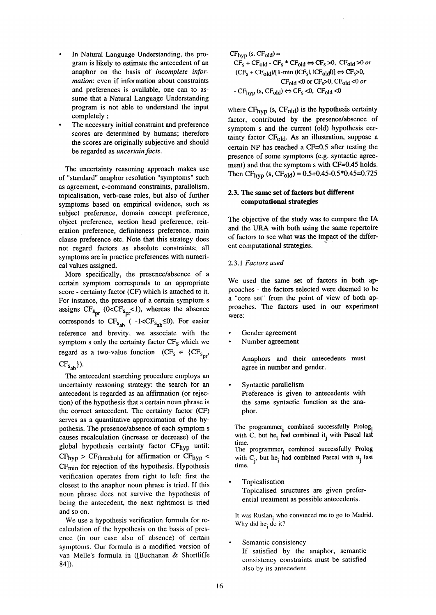- In Natural Language Understanding, the program is likely to estimate the antecedent of an anaphor on the basis of *incomplete information:* even if information about constraints and preferences is available, one can to assume that a Natural Language Understanding program is not able to understand the input completely ;
- The necessary initial constraint and preference scores are determined by humans; therefore the scores are originally subjective and should be regarded as *uncertain facts.*

The uncertainty reasoning approach makes use of "standard" anaphor resolution "symptoms" such as agreement, c-command constraints, parallelism, topicalisation, verb-case roles, but also of further symptoms based on empirical evidence, such as subject preference, domain concept preference, object preference, section head preference, reiteration preference, definiteness preference, main clause preference etc. Note that this strategy does not regard factors as absolute constraints; all symptoms are in practice preferences with numerical values assigned.

More specifically, the presence/absence of a certain symptom corresponds to an appropriate score - certainty factor (CF) which is attached to it. For instance, the presence of a certain symptom s assigns  $CF_{s_{pr}} (0 < CF_{s_{pr}} < 1)$ , whereas the absence corresponds to  $CF_{s_{ab}}$  (-1<CF<sub>s<sub>ab</sub>  $\leq$ 0). For easier</sub> reference and brevity, we associate with the symptom s only the certainty factor  $CF_S$  which we regard as a two-value function  $(CF<sub>S</sub> \in {CF<sub>S<sub>nr</sub></sub>},$  $CF_{S_{ab}}\}.$ 

The antecedent searching procedure employs an uncertainty reasoning strategy: the search for an antecedent is regarded as an affirmation (or rejection) of the hypothesis that a certain noun phrase is the correct antecedent. The certainty factor (CF) serves as a quantitative approximation of the hypothesis. The presence/absence of each symptom s causes recalculation (increase or decrease) of the global hypothesis certainty factor CF<sub>hyp</sub> until:  $CF<sub>hyp</sub> > CF<sub>threshold</sub>$  for affirmation or  $CF<sub>hyp</sub>$  < CFmin for rejection of the hypothesis. Hypothesis verification operates from right to left: first the closest to the anaphor noun phrase is tried. If this noun phrase does not survive the hypothesis of being the antecedent, the next rightmost is tried and so on.

We use a hypothesis verification formula for recalculation of the hypothesis on the basis of presence (in our case also of absence) of certain symptoms. Our formula is a modified version of van Melle's formula in ([Buchanan & Shortliffe 841).

$$
CF_{hyp} (s, CF_{old}) =
$$
\n
$$
CF_{s} + CF_{old} - CF_{s} * CF_{old} \Leftrightarrow CF_{s} > 0, CF_{old} > 0 \text{ or } (CF_{s} + CF_{old})/[1-min ((CF_{s}], |CF_{old}|)] \Leftrightarrow CF_{s} > 0,
$$
\n
$$
CF_{old} < 0 \text{ or } CF_{s} > 0, CF_{old} < 0 \text{ or } -CF_{hyp} (s, CF_{old}) \Leftrightarrow CF_{s} < 0, CF_{old} < 0
$$

where  $CF_{\text{hvp}}$  (s,  $CF_{\text{old}}$ ) is the hypothesis certainty factor, contributed by the presence/absence of symptom s and the current (old) hypothesis certainty factor  $CF<sub>old</sub>$ . As an illustration, suppose a certain NP has reached a CF=0.5 after testing the presence of some symptoms (e.g. syntactic agreement) and that the symptom s with CF=0.45 holds. Then  $CF_{\text{hvo}}$  (s,  $CF_{\text{old}}$ ) = 0.5+0.45-0.5\*0.45=0.725

### **2.3. The same set of factors but different computational strategies**

The objective of the study was to compare the IA and the URA with both using the same repertoire of factors to see what was the impact of the different computational strategies.

# 2.3.1 *Factors used*

We used the same set of factors in both approaches - the factors selected were deemed to be a "core set" from the point of view of both approaches. The factors used in our experiment were:

- Gender agreement
- Number agreement

Anaphors and their antecedents must agree in number and gender.

Syntactic parallelism Preference is given to antecedents with the same syntactic function as the anaphor.

The programmer<sub>i</sub> combined successfully Prolog. with C, but he ind combined it with Pascal last time. The programmer, combined successfully Prolog with  $C_i$ , but he i had combined Pascal with it last time.

Topicalisation

Topicalised structures are given preferential treatment as possible antecedents.

It was Ruslan<sub>i</sub> who convinced me to go to Madrid. Why did he, do it?

Semantic consistency

If satisfied by the anaphor, semantic consistency constraints must be satisfied also by its antecedent.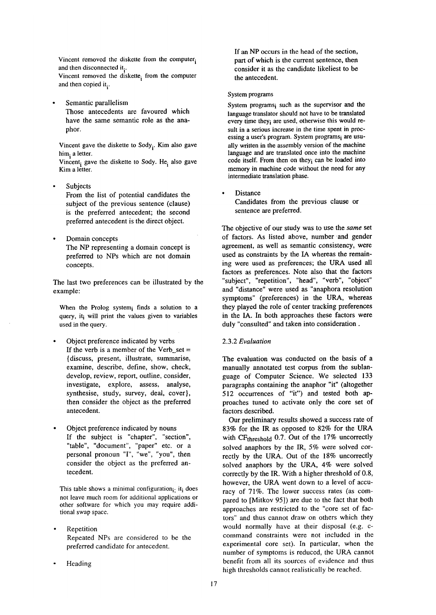Vincent removed the diskette from the computer. and then disconnected it. Vincent removed the diskette<sub>i</sub> from the computer and then copied it.

Semantic parallelism Those antecedents are favoured which have the same semantic role as the anaphor.

Vincent gave the diskette to  $Sody_i$ . Kim also gave him, a letter.

Vincent, gave the diskette to Sody. He, also gave Kim a letter.

- Subjects From the list of potential candidates the subject of the previous sentence (clause) is the preferred antecedent; the second preferred antecedent is the direct object.
- Domain concepts The NP representing a domain concept is preferred to NPs which are not domain concepts.

The last two preferences can be illustrated by the example:

When the Prolog system; finds a solution to a query, it i will print the values given to variables used in the query.

- Object preference indicated by verbs If the verb is a member of the Verb\_set  $=$ {discuss, present, illustrate, summarise, examine, describe, define, show, check, develop, review, report, outline, consider, investigate, explore, assess, analyse, synthesise, study, survey, deal, cover}, then consider the object as the preferred antecedent.
- Object preference indicated by nouns If the subject is "chapter", "section", "table", "document", "paper" etc. or a personal pronoun 'T', "we", "you", then consider the object as the preferred antecedent.

This table shows a minimal configuration $i_i$  it does not leave much room for additional applications or other software for which you may require additional swap space.

- Repetition Repeated NPs are considered to be the preferred candidate for antecedent.
- Heading

If an NP occurs in the head of the section, part of which is the current sentence, then consider it as the candidate likeliest to be the antecedent.

#### System programs

System programs; such as the supervisor and the language translator should not have to be translated every time they; are used, otherwise this would result in a serious increase in the time spent in processing a user's program. System programs; are usually written in the assembly version of the machine language and are translated once into the machine code itself. From then on they, can be loaded into memory in machine code without the need for any intermediate translation phase.

Distance Candidates from the previous clause or sentence are preferred.

The objective of our study was to use the *same* set of factors. As listed above, number and gender agreement, as well as semantic consistency, were used as constraints by the IA whereas the remaining were used as preferences; the URA used all factors as preferences. Note also that the factors "subject", "repetition", "head", "verb", "object" and "distance" were used as "anaphora resolution symptoms" (preferences) in the URA, whereas they played the role of center tracking preferences in the IA. In both approaches these factors were duly "consulted" and taken into consideration.

### 2.3.2 *Evaluation*

The evaluation was conducted on the basis of a manually annotated test corpus from the sublanguage of Computer Science. We selected 133 paragraphs containing the anaphor "it" (altogether 512 occurrences of "it") and tested both approaches tuned to activate only the core set of factors described.

Our preliminary results showed a success rate of 83% for the IR as opposed to 82% for the URA with CF<sub>threshold</sub> 0.7. Out of the  $17\%$  uncorrectly solved anaphors by the IR, 5% were solved correctly by the URA. Out of the 18% uncorrectly solved anaphors by the URA, 4% were solved correctly by the IR. With a higher threshold of 0.8, however, the URA went down to a level of accuracy of 71%. The lower success rates (as compared to [Mitkov 95]) are due to the fact that both approaches are restricted to the "core set of factors" and thus cannot draw on others which they would normally have at their disposal (e.g. ccommand constraints were not included in the experimental core set). In particular, when the number of symptoms is reduced, the URA cannot benefit from all its sources of evidence and thus high thresholds cannot realistically be reached.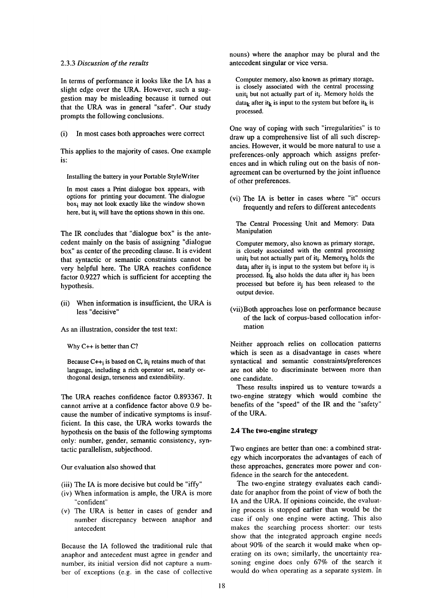#### 2.3.3 *Discussion of the results*

In terms of performance it looks like the IA has a slight edge over the URA. However, such a suggestion may be misleading because it turned out that the URA was in general "safer". Our study prompts the following conclusions.

(i) In most cases both approaches were correct

This applies to the majority of cases. One example is:

Installing the battery in your Portable StyleWriter

In most cases a Print dialogue box appears, with options for printing your document. The dialogue box<sub>i</sub> may not look exactly like the window shown here, but it<sub>i</sub> will have the options shown in this one.

The IR conciudes that "dialogue box" is the antecedent mainly on the basis of assigning "dialogue box" as center of the preceding clause. It is evident that syntactic or semantic constraints cannot be very helpful here. The URA reaches confidence factor 0.9227 which is sufficient for accepting the hypothesis.

(ii) When information is insufficient, the URA is less "decisive"

As an illustration, consider the test text:

Why C++ is better than C?

Because  $C_{++}$  is based on C, it i retains much of that language, including a rich operator set, nearly orthogonal design, terseness and extendibility.

The URA reaches confidence factor 0.893367. It cannot arrive at a confidence factor above 0.9 because the number of indicative symptoms is insufficient. In this case, the URA works towards the hypothesis on the basis of the following symptoms only: number, gender, semantic consistency, syntactic parallelism, subjecthood.

Our evaluation also showed that

- (iii) The IA is more decisive but could be "iffy"
- (iv) When information is ample, the URA is more "confident"
- (v) The URA is better in cases of gender and number discrepancy between anaphor and antecedent

Because the IA followed the traditional rule that anaphor and antecedent must agree in gender and number, its initial version did not capture a number of exceptions (e.g. in the case of collective

nouns) where the anaphor may be plural and the antecedent singular or vice versa.

Computer memory, also known as primary storage, is closely associated with the central processing unit; but not actually part of it<sub>i</sub>. Memory holds the data<sub>k</sub> after it<sub>k</sub> is input to the system but before it<sub>k</sub> is processed.

One way of coping with such "irregularities" is to draw up a comprehensive list of all such discrepancies. However, it would be more natural to use a preferences-only approach which assigns preferences and in which ruling out on the basis of nonagreement can be overturned by the joint influence of other preferences.

(vi) The IA is better in cases where "it" occurs frequently and refers to different antecedents

The Central Processing Unit and Memory: Data Manipulation

Computer memory, also known as primary storage, is closely associated with the central processing unit<sub>i</sub> but not actually part of it<sub>i</sub>. Memory<sub>k</sub> holds the data<sub>j</sub> after it<sub>j</sub> is input to the system but before it<sub>i</sub> is processed. It<sub>k</sub> also holds the data after it<sub>j</sub> has been processed but before it<sub>j</sub> has been released to the output device.

(vii)Both approaches lose on performance because of the lack of corpus-based collocation information

Neither approach relies on collocation patterns which is seen as a disadvantage in cases where syntactical and semantic constraints/preferences are not able to discriminate between more than one candidate.

These results inspired us to venture towards a two-engine strategy which would combine the benefits of the "speed" of the IR and the "safety" of the URA.

### **2.4 The two-engine strategy**

Two engines are better than one: a combined strategy which incorporates the advantages of each of these approaches, generates more power and confidence in the search for the antecedent.

The two-engine strategy evaluates each candidate for anaphor from the point of view of both the IA and the URA. If opinions coincide, the evaluating process is stopped earlier than would be the case if only one engine were acting. This also makes the searching process shorter: our tests show that the integrated approach engine needs about 90% of the search it would make when operating on its own; similarly, the uncertainty reasoning engine does only 67% of the search it would do when operating as a separate system. In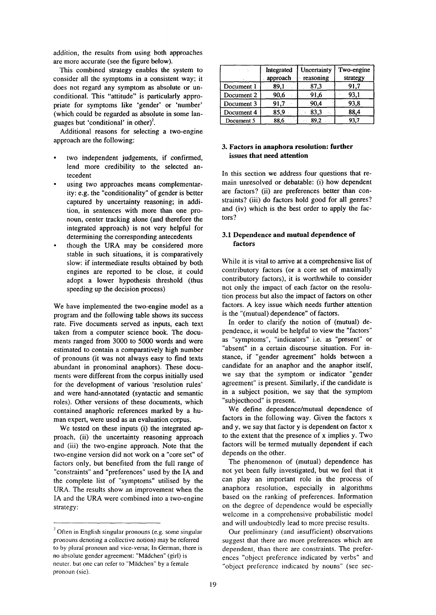addition, the results from using both approaches are more accurate (see the figure below).

This combined strategy enables the system to consider all the symptoms in a consistent way; it does not regard any symptom as absolute or unconditional. This "attitude" is particularly appropriate for symptoms like 'gender' or 'number' (which could be regarded as absolute in some languages but 'conditional' in other)<sup>2</sup>.

Additional reasons for selecting a two-engine approach are the following:

- two independent judgements, if confirmed, lend more credibility to the selected antecedent
- using two approaches means complementarity: e.g. the "conditionality" of gender is better captured by uncertainty reasoning; in addition, in sentences with more than one pronoun, center tracking alone (and therefore the integrated approach) is not very helpful for determining the corresponding antecedents
- though the URA may be considered more stable in such situations, it is comparatively slow: if intermediate results obtained by both engines are reported to be close, it could adopt a lower hypothesis threshold (thus speeding up the decision process)

We have implemented the two-engine model as a program and the following table shows its success rate. Five documents served as inputs, each text taken from a computer science book. The documents ranged from 3000 to 5000 words and were estimated to contain a comparatively high number of pronouns (it was not always easy to find texts abundant in pronominal anaphors). These documents were different from the corpus initially used for the development of various 'resolution rules' and were hand-annotated (syntactic and semantic roles). Other versions of these documents, which contained anaphoric references marked by a human expert, were used as an evaluation corpus.

We tested on these inputs (i) the integrated approach, (ii) the uncertainty reasoning approach and (iii) the two-engine approach. Note that the two-engine version did not work on a "core set" of factors only, but benefited from the full range of "constraints" and "preferences" used by the IA and the complete list of "symptoms" utilised by the URA. The results show an improvement when the IA and the URA were combined into a two-engine strategy:

|            | Integrated<br>approach | Uncertainty<br>reasoning | Two-engine<br>strategy |
|------------|------------------------|--------------------------|------------------------|
| Document 1 | 89,1                   | 87,3                     | 91,7                   |
| Document 2 | 90,6                   | 91,6                     | 93,1                   |
| Document 3 | 91.7                   | .90,4                    | 93,8                   |
| Document 4 | 85,9                   | 83,3                     | 88,4                   |
| Document 5 | 88.6                   | 89,2                     | 93,7                   |

# **3. Factors in anaphora resolution: further issues that need attention**

In this section we address four questions that remain unresolved or debatable: (i) how dependent are factors? (ii) are preferences better than constraints? (iii) do factors hold good for all genres? and (iv) which is the best order to apply the factors?

### **3.1 Dependence and mutual dependence of factors**

While it is vital to arrive at a comprehensive list of contributory factors (or a core set of maximally contributory factors), it is worthwhile to consider not only the impact of each factor on the resolution process but also the impact of factors on other factors. A key issue which needs further attention is the "(mutual) dependence" of factors.

In order to clarify the notion of (mutual) dependence, it would be helpful to view the "factors" as "symptoms", "indicators" i.e. as "present" or "absent" in a certain discourse situation. For instance, if "gender agreement" holds between a candidate for an anaphor and the anaphor itself, we say that the symptom or indicator "gender agreement" is present. Similarly, if the candidate is in a subject position, we say that the symptom "subjecthood" is present.

We define dependence/mutual dependence of factors in the following way. Given the factors x and y, we say that factor y is dependent on factor x to the extent that the presence of x implies y. Two factors will be termed mutually dependent if each depends on the other.

The phenomenon of (mutual) dependence has not yet been fully investigated, but we feel that it can play an important role in the process of anaphora resolution, especially in algorithms based on the ranking of preferences. Information on the degree of dependence would be especially welcome in a comprehensive probabilistic model and will undoubtedly lead to more precise results.

Our preliminary (and insufficient) observations suggest that there are more preferences which are dependent, than there are constraints. The preferences "object preference indicated by verbs" and "object preference indicated by nouns" (see sec-

 $2$  Often in English singular pronouns (e.g. some singular pronouns denoting a collective notion) may be referred to by plural pronoun and vice-versa; In German, there is no absolute gender agreement: "Mädchen" (girl) is neuter, but one can refer to "Mädchen" by a female pronoun (sic).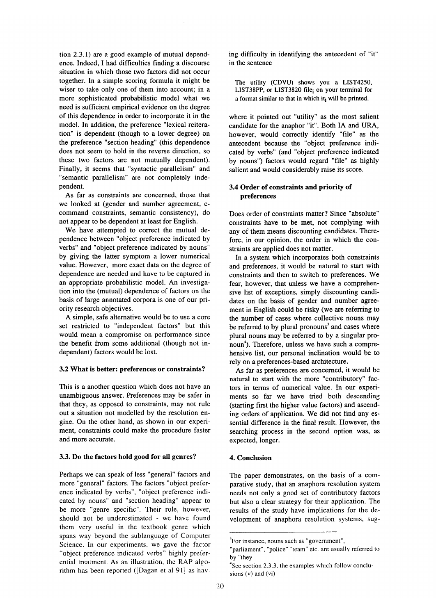tion 2.3.1) are a good example of mutual dependence. Indeed, I had difficulties finding a discourse situation in which those two factors did not occur together. In a simple scoring formula it might be wiser to take only one of them into account; in a more sophisticated probabilistic model what we need is sufficient empirical evidence on the degree of this dependence in order to incorporate it in the model. In addition, the preference "lexical reiteration" is dependent (though to a lower degree) on the preference "section heading" (this dependence does not seem to hold in the reverse direction, so these two factors are not mutually dependent). Finally, it seems that "syntactic parallelism" and "semantic parallelism" are not completely independent.

As far as constraints are concerned, those that we looked at (gender and number agreement, ccommand constraints, semantic consistency), do not appear to be dependent at least for English.

We have attempted to correct the mutual dependence between "object preference indicated by verbs" and "object preference indicated by nouns" by giving the latter symptom a lower numerical value. However, more exact data on the degree of dependence are needed and have to be captured in an appropriate probabilistic model. An investigation into the (mutual) dependence of factors on the basis of large annotated corpora is one of our priority research objectives.

A simple, safe alternative would be to use a core set restricted to "independent factors" but this would mean a compromise on performance since the benefit from some additional (though not independent) factors would be lost.

### **3.2 What is better: preferences or constraints?**

This is a another question which does not have an unambiguous answer. Preferences may be safer in that they, as opposed to constraints, may not rule out a situation not modelled by the resolution engine. On the other hand, as shown in our experiment, constraints could make the procedure faster and more accurate.

#### **3.3. Do the factors hold good for all genres?**

Perhaps we can speak of less "general" factors and more "general" factors. The factors "object preference indicated by verbs", "object preference indicated by nouns" and "section heading" appear to be more "genre specific". Their role, however, should not be underestimated - we have found them very useful in the textbook genre which spans way beyond the sublanguage of Computer Science. In our experiments, we gave the factor "object preference indicated verbs" highly preferential treatment. As an illustration, the RAP algorithm has been reported ([Dagan et al 9l] as having difficulty in identifying the antecedent of "it" in the sentence

The utility (CDVU) shows you a LIST4250, LIST38PP, or LIST3820 file $_{i}$  on your terminal for a format similar to that in which it; will be printed.

where it pointed out "utility" as the most salient candidate for the anaphor "it". Both IA and URA, however, would correctly identify "file" as the antecedent because the "object preference indicated by verbs" (and "object preference indicated by nouns") factors would regard "file" as highly salient and would considerably raise its score.

## **3.4 Order of constraints and priority of preferences**

Does order of constraints matter? Since "absolute" constraints have to be met, not complying with any of them means discounting candidates. Therefore, in our opinion, the order in which the constraints are applied does not matter.

In a system which incorporates both constraints and preferences, it would be natural to start with constraints and then to switch to preferences. We fear, however, that unless we have a comprehensive list of exceptions, simply discounting candidates on the basis of gender and number agreement in English could be risky (we are referring to the number of cases where collective nouns may be referred to by plural pronouns<sup>3</sup> and cases where plural nouns may be referred to by a singular pronoun<sup>4</sup>). Therefore, unless we have such a comprehensive list, our personal inclination would be to rely on a preferences-based architecture.

As far as preferences are concerned, it would be natural to start with the more "contributory" factors in terms of numerical value. In our experiments so far we have tried both descending (starting first the higher value factors) and ascending orders of application. We did not find any essential difference in the final result. However, the searching process in the second option was, as expected, longer.

#### 4. **Conclusion**

The paper demonstrates, on the basis of a comparative study, that an anaphora resolution system needs not only a good set of contributory factors but also a clear strategy for their application. The results of the study have implications for the development of anaphora resolution systems, sug-

<sup>&</sup>lt;sup>3</sup>For instance, nouns such as "government",

<sup>&</sup>quot;parliament", "police" "team" etc. are usually referred to by "they

<sup>&</sup>lt;sup>4</sup>See section 2.3.3, the examples which follow conclusions (v) and (vi)